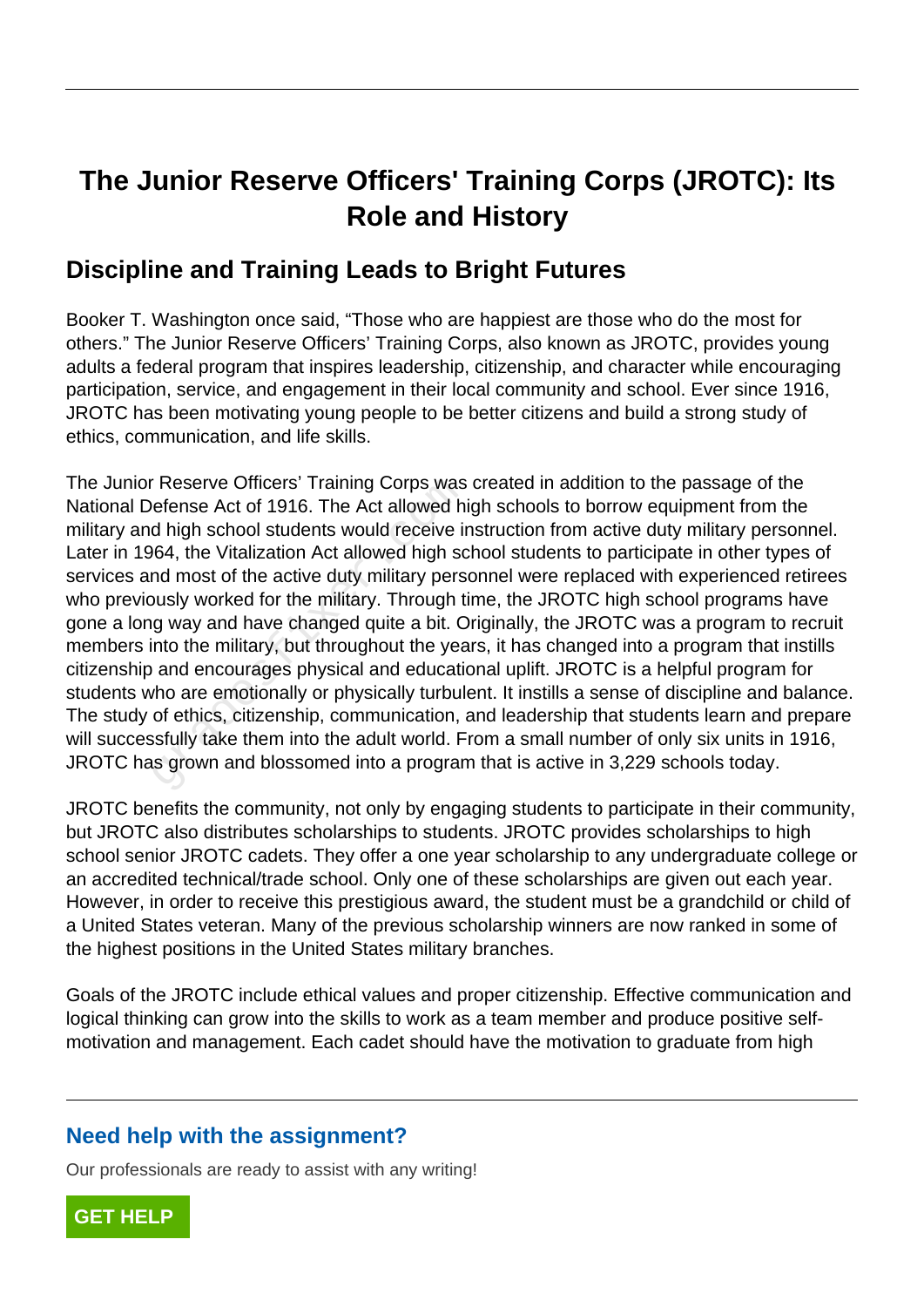# **The Junior Reserve Officers' Training Corps (JROTC): Its Role and History**

## **Discipline and Training Leads to Bright Futures**

Booker T. Washington once said, "Those who are happiest are those who do the most for others." The Junior Reserve Officers' Training Corps, also known as JROTC, provides young adults a federal program that inspires leadership, citizenship, and character while encouraging participation, service, and engagement in their local community and school. Ever since 1916, JROTC has been motivating young people to be better citizens and build a strong study of ethics, communication, and life skills.

The Junior Reserve Officers' Training Corps was created in addition to the passage of the National Defense Act of 1916. The Act allowed high schools to borrow equipment from the military and high school students would receive instruction from active duty military personnel. Later in 1964, the Vitalization Act allowed high school students to participate in other types of services and most of the active duty military personnel were replaced with experienced retirees who previously worked for the military. Through time, the JROTC high school programs have gone a long way and have changed quite a bit. Originally, the JROTC was a program to recruit members into the military, but throughout the years, it has changed into a program that instills citizenship and encourages physical and educational uplift. JROTC is a helpful program for students who are emotionally or physically turbulent. It instills a sense of discipline and balance. The study of ethics, citizenship, communication, and leadership that students learn and prepare will successfully take them into the adult world. From a small number of only six units in 1916, JROTC has grown and blossomed into a program that is active in 3,229 schools today. Reserve Officers' Training Corps was<br>refense Act of 1916. The Act allowed his<br>d high school students would receive in<br>64, the Vitalization Act allowed high sc<br>md most of the active duty military pers<br>busly worked for the m

JROTC benefits the community, not only by engaging students to participate in their community, but JROTC also distributes scholarships to students. JROTC provides scholarships to high school senior JROTC cadets. They offer a one year scholarship to any undergraduate college or an accredited technical/trade school. Only one of these scholarships are given out each year. However, in order to receive this prestigious award, the student must be a grandchild or child of a United States veteran. Many of the previous scholarship winners are now ranked in some of the highest positions in the United States military branches.

Goals of the JROTC include ethical values and proper citizenship. Effective communication and logical thinking can grow into the skills to work as a team member and produce positive selfmotivation and management. Each cadet should have the motivation to graduate from high

### **Need help with the assignment?**

Our professionals are ready to assist with any writing!

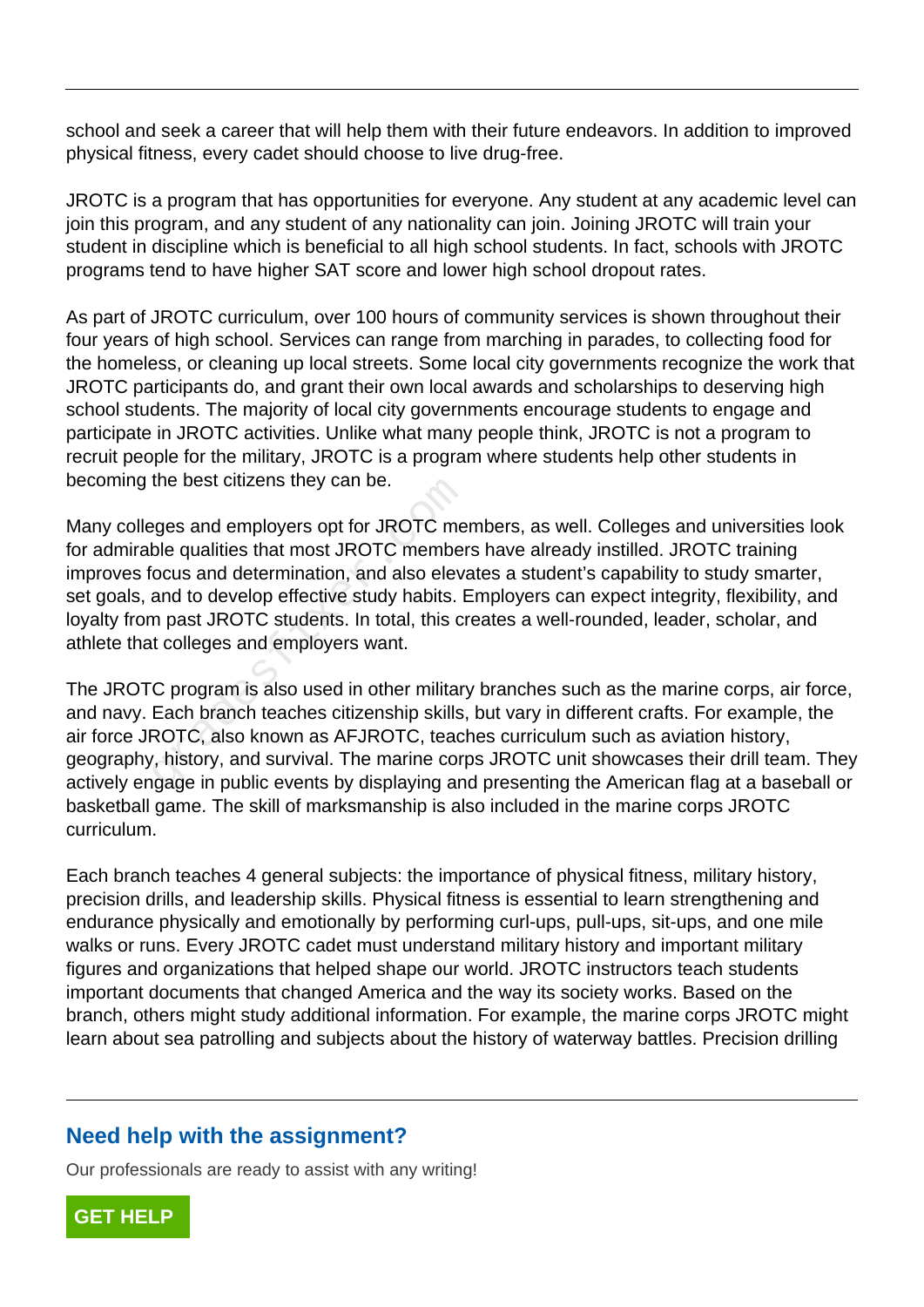school and seek a career that will help them with their future endeavors. In addition to improved physical fitness, every cadet should choose to live drug-free.

JROTC is a program that has opportunities for everyone. Any student at any academic level can join this program, and any student of any nationality can join. Joining JROTC will train your student in discipline which is beneficial to all high school students. In fact, schools with JROTC programs tend to have higher SAT score and lower high school dropout rates.

As part of JROTC curriculum, over 100 hours of community services is shown throughout their four years of high school. Services can range from marching in parades, to collecting food for the homeless, or cleaning up local streets. Some local city governments recognize the work that JROTC participants do, and grant their own local awards and scholarships to deserving high school students. The majority of local city governments encourage students to engage and participate in JROTC activities. Unlike what many people think, JROTC is not a program to recruit people for the military, JROTC is a program where students help other students in becoming the best citizens they can be.

Many colleges and employers opt for JROTC members, as well. Colleges and universities look for admirable qualities that most JROTC members have already instilled. JROTC training improves focus and determination, and also elevates a student's capability to study smarter, set goals, and to develop effective study habits. Employers can expect integrity, flexibility, and loyalty from past JROTC students. In total, this creates a well-rounded, leader, scholar, and athlete that colleges and employers want. the best cluzens they can be.<br>
eges and employers opt for JROTC me<br>
ble qualities that most JROTC member<br>
ocus and determination, and also eleva<br>
and to develop effective study habits. If<br>
in past JROTC students. In total,

The JROTC program is also used in other military branches such as the marine corps, air force, and navy. Each branch teaches citizenship skills, but vary in different crafts. For example, the air force JROTC, also known as AFJROTC, teaches curriculum such as aviation history, geography, history, and survival. The marine corps JROTC unit showcases their drill team. They actively engage in public events by displaying and presenting the American flag at a baseball or basketball game. The skill of marksmanship is also included in the marine corps JROTC curriculum.

Each branch teaches 4 general subjects: the importance of physical fitness, military history, precision drills, and leadership skills. Physical fitness is essential to learn strengthening and endurance physically and emotionally by performing curl-ups, pull-ups, sit-ups, and one mile walks or runs. Every JROTC cadet must understand military history and important military figures and organizations that helped shape our world. JROTC instructors teach students important documents that changed America and the way its society works. Based on the branch, others might study additional information. For example, the marine corps JROTC might learn about sea patrolling and subjects about the history of waterway battles. Precision drilling

#### **Need help with the assignment?**

Our professionals are ready to assist with any writing!